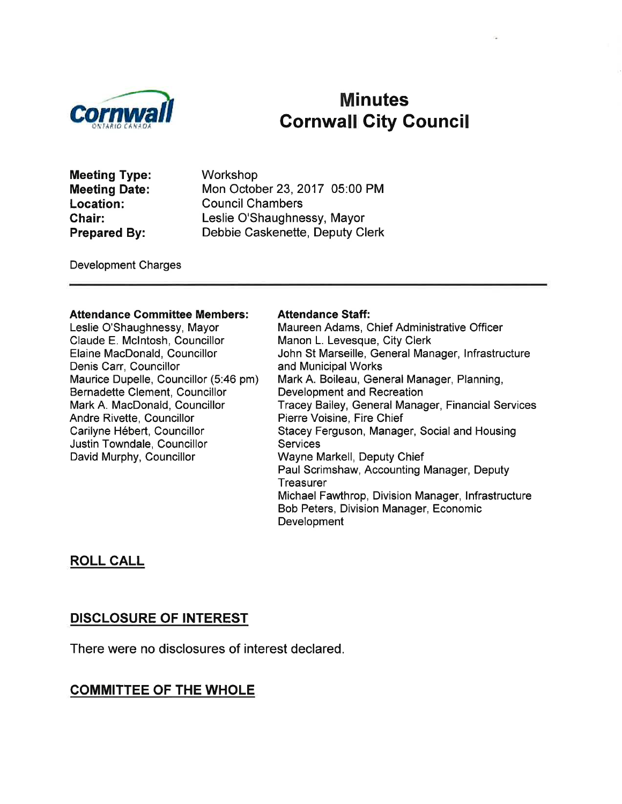

# Minutes<br>Cornwall City Council

Meeting Type: Meeting Date: Location: Chair: Prepared By:

Workshop Mon October 23,2017 05:00 PM Council Chambers Leslie O'Shaughnessy, Mayor Debbie Caskenette, Deputy Clerk

Development Charges

#### Attendance Gommittee Members:

Leslie O'Shaughnessy, Mayor Claude E. Mclntosh, Councillor Elaine MacDonald, Councillor Denis Carr, Councillor Maurice Dupelle, Councillor (5:46 pm) Bernadette Clement, Councillor Mark A. MacDonald, Councillor Andre Rivette, Councillor Carilyne Hébert, Councillor Justin Towndale, Councillor David Murphy, Councillor

#### Attendance Staff:

Maureen Adams, Chief Administrative Officer Manon L. Levesque, City Clerk John St Marseille, General Manager, lnfrastructure and Municipal Works Mark A. Boileau, General Manager, Planning, Development and Recreation Tracey Bailey, General Manager, Financial Services Pierre Voisine, Fire Chief Stacey Ferguson, Manager, Social and Housing **Services** Wayne Markell, Deputy Chief Paul Scrimshaw, Accounting Manager, Deputy **Treasurer** Michael Fawthrop, Division Manager, lnfrastructure Bob Peters, Division Manager, Economic **Development** 

## ROLL CALL

## DISCLOSURE OF INTEREST

There were no disclosures of interest declared.

## COMMITTEE OF THE WHOLE